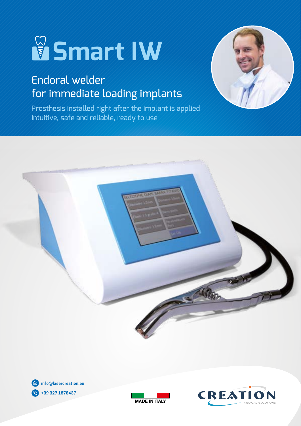# **Smart IW**

## Endoral welder for immediate loading implants

Prosthesis installed right after the implant is applied Intuitive, safe and reliable, ready to use